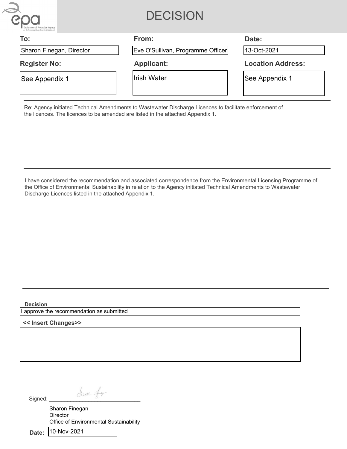

## **DECISION**

| To:                      | From:                             | Date:                    |
|--------------------------|-----------------------------------|--------------------------|
| Sharon Finegan, Director | Eve O'Sullivan, Programme Officer | 13-Oct-2021              |
| <b>Register No:</b>      | <b>Applicant:</b>                 | <b>Location Address:</b> |
| See Appendix 1           | lIrish Water                      | See Appendix 1           |

Re: Agency initiated Technical Amendments to Wastewater Discharge Licences to facilitate enforcement of the licences. The licences to be amended are listed in the attached Appendix 1.

I have considered the recommendation and associated correspondence from the Environmental Licensing Programme of the Office of Environmental Sustainability in relation to the Agency initiated Technical Amendments to Wastewater Discharge Licences listed in the attached Appendix 1.

**Decision**

approve the recommendation as submitted

**<< Insert Changes>>**

Signed: dhaced finest

Sharon Finegan **Director** Office of Environmental Sustainability

**Date** 10-Nov-2021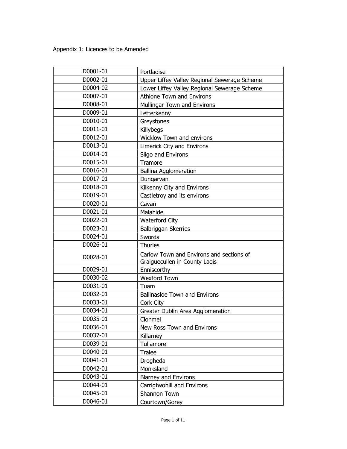| D0001-01 | Portlaoise                                   |
|----------|----------------------------------------------|
| D0002-01 | Upper Liffey Valley Regional Sewerage Scheme |
| D0004-02 | Lower Liffey Valley Regional Sewerage Scheme |
| D0007-01 | <b>Athlone Town and Environs</b>             |
| D0008-01 | Mullingar Town and Environs                  |
| D0009-01 | Letterkenny                                  |
| D0010-01 | Greystones                                   |
| D0011-01 | Killybegs                                    |
| D0012-01 | <b>Wicklow Town and environs</b>             |
| D0013-01 | Limerick City and Environs                   |
| D0014-01 | Sligo and Environs                           |
| D0015-01 | Tramore                                      |
| D0016-01 | <b>Ballina Agglomeration</b>                 |
| D0017-01 | Dungarvan                                    |
| D0018-01 | Kilkenny City and Environs                   |
| D0019-01 | Castletroy and its environs                  |
| D0020-01 | Cavan                                        |
| D0021-01 | Malahide                                     |
| D0022-01 | <b>Waterford City</b>                        |
| D0023-01 | Balbriggan Skerries                          |
| D0024-01 | Swords                                       |
| D0026-01 | <b>Thurles</b>                               |
| D0028-01 | Carlow Town and Environs and sections of     |
|          | Graiguecullen in County Laois                |
| D0029-01 | Enniscorthy                                  |
| D0030-02 | Wexford Town                                 |
| D0031-01 | Tuam                                         |
| D0032-01 | <b>Ballinasloe Town and Environs</b>         |
| D0033-01 | Cork City                                    |
| D0034-01 | Greater Dublin Area Agglomeration            |
| D0035-01 | Clonmel                                      |
| D0036-01 | New Ross Town and Environs                   |
| D0037-01 | Killarney                                    |
| D0039-01 | Tullamore                                    |
| D0040-01 | <b>Tralee</b>                                |
| D0041-01 | Drogheda                                     |
| D0042-01 | Monksland                                    |
| D0043-01 | <b>Blarney and Environs</b>                  |
| D0044-01 | Carrigtwohill and Environs                   |
| D0045-01 | Shannon Town                                 |
| D0046-01 | Courtown/Gorey                               |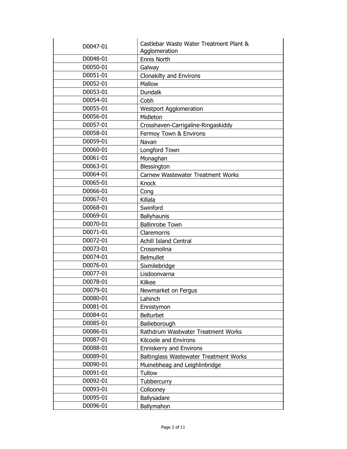| D0047-01 | Castlebar Waste Water Treatment Plant &<br>Agglomeration |
|----------|----------------------------------------------------------|
| D0048-01 | Ennis North                                              |
| D0050-01 | Galway                                                   |
| D0051-01 | Clonakilty and Environs                                  |
| D0052-01 | Mallow                                                   |
| D0053-01 | <b>Dundalk</b>                                           |
| D0054-01 | Cobh                                                     |
| D0055-01 | <b>Westport Agglomeration</b>                            |
| D0056-01 | Midleton                                                 |
| D0057-01 | Crosshaven-Carrigaline-Ringaskiddy                       |
| D0058-01 | Fermoy Town & Environs                                   |
| D0059-01 | Navan                                                    |
| D0060-01 | Longford Town                                            |
| D0061-01 | Monaghan                                                 |
| D0063-01 | Blessington                                              |
| D0064-01 | Carnew Wastewater Treatment Works                        |
| D0065-01 | <b>Knock</b>                                             |
| D0066-01 | Cong                                                     |
| D0067-01 | Killala                                                  |
| D0068-01 | Swinford                                                 |
| D0069-01 | Ballyhaunis                                              |
| D0070-01 | <b>Ballinrobe Town</b>                                   |
| D0071-01 | Claremorris                                              |
| D0072-01 | Achill Island Central                                    |
| D0073-01 | Crossmolina                                              |
| D0074-01 | <b>Belmullet</b>                                         |
| D0076-01 | Sixmilebridge                                            |
| D0077-01 | Lisdoonvarna                                             |
| D0078-01 | Kilkee                                                   |
| D0079-01 | Newmarket on Fergus                                      |
| D0080-01 | Lahinch                                                  |
| D0081-01 | Ennistymon                                               |
| D0084-01 | <b>Belturbet</b>                                         |
| D0085-01 | Bailieborough                                            |
| D0086-01 | Rathdrum Wastwater Treatment Works                       |
| D0087-01 | Kilcoole and Environs                                    |
| D0088-01 | <b>Enniskerry and Environs</b>                           |
| D0089-01 | Baltinglass Wastewater Treatment Works                   |
| D0090-01 | Muinebheag and Leighlinbridge                            |
| D0091-01 | <b>Tullow</b>                                            |
| D0092-01 | Tubbercurry                                              |
| D0093-01 | Collooney                                                |
| D0095-01 | Ballysadare                                              |
| D0096-01 | Ballymahon                                               |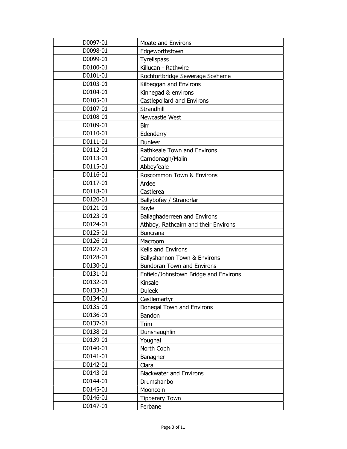| D0097-01 | Moate and Environs                    |
|----------|---------------------------------------|
| D0098-01 | Edgeworthstown                        |
| D0099-01 | <b>Tyrellspass</b>                    |
| D0100-01 | Killucan - Rathwire                   |
| D0101-01 | Rochfortbridge Sewerage Sceheme       |
| D0103-01 | Kilbeggan and Environs                |
| D0104-01 | Kinnegad & environs                   |
| D0105-01 | Castlepollard and Environs            |
| D0107-01 | Strandhill                            |
| D0108-01 | Newcastle West                        |
| D0109-01 | <b>Birr</b>                           |
| D0110-01 | Edenderry                             |
| D0111-01 | Dunleer                               |
| D0112-01 | Rathkeale Town and Environs           |
| D0113-01 | Carndonagh/Malin                      |
| D0115-01 | Abbeyfeale                            |
| D0116-01 | Roscommon Town & Environs             |
| D0117-01 | Ardee                                 |
| D0118-01 | Castlerea                             |
| D0120-01 | Ballybofey / Stranorlar               |
| D0121-01 | Boyle                                 |
| D0123-01 | Ballaghaderreen and Environs          |
| D0124-01 | Athboy, Rathcairn and their Environs  |
| D0125-01 | <b>Buncrana</b>                       |
| D0126-01 | Macroom                               |
| D0127-01 | Kells and Environs                    |
| D0128-01 | Ballyshannon Town & Environs          |
| D0130-01 | <b>Bundoran Town and Environs</b>     |
| D0131-01 | Enfield/Johnstown Bridge and Environs |
| D0132-01 | Kinsale                               |
| D0133-01 | <b>Duleek</b>                         |
| D0134-01 | Castlemartyr                          |
| D0135-01 | Donegal Town and Environs             |
| D0136-01 | Bandon                                |
| D0137-01 | Trim                                  |
| D0138-01 | Dunshaughlin                          |
| D0139-01 | Youghal                               |
| D0140-01 | North Cobh                            |
| D0141-01 | Banagher                              |
| D0142-01 | Clara                                 |
| D0143-01 | <b>Blackwater and Environs</b>        |
| D0144-01 | Drumshanbo                            |
| D0145-01 | Mooncoin                              |
| D0146-01 | <b>Tipperary Town</b>                 |
| D0147-01 | Ferbane                               |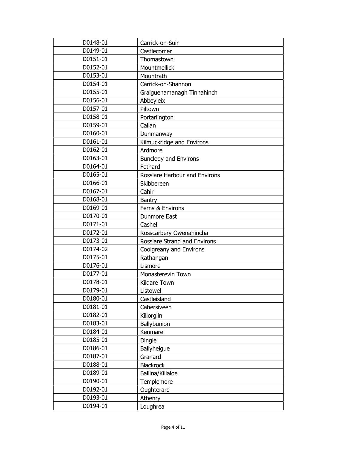| D0148-01 | Carrick-on-Suir                      |
|----------|--------------------------------------|
| D0149-01 | Castlecomer                          |
| D0151-01 | Thomastown                           |
| D0152-01 | Mountmellick                         |
| D0153-01 | Mountrath                            |
| D0154-01 | Carrick-on-Shannon                   |
| D0155-01 | Graiguenamanagh Tinnahinch           |
| D0156-01 | Abbeyleix                            |
| D0157-01 | Piltown                              |
| D0158-01 | Portarlington                        |
| D0159-01 | Callan                               |
| D0160-01 | Dunmanway                            |
| D0161-01 | Kilmuckridge and Environs            |
| D0162-01 | Ardmore                              |
| D0163-01 | <b>Bunclody and Environs</b>         |
| D0164-01 | Fethard                              |
| D0165-01 | <b>Rosslare Harbour and Environs</b> |
| D0166-01 | Skibbereen                           |
| D0167-01 | Cahir                                |
| D0168-01 | Bantry                               |
| D0169-01 | Ferns & Environs                     |
| D0170-01 | Dunmore East                         |
| D0171-01 | Cashel                               |
| D0172-01 | Rosscarbery Owenahincha              |
| D0173-01 | Rosslare Strand and Environs         |
| D0174-02 | Coolgreany and Environs              |
| D0175-01 | Rathangan                            |
| D0176-01 | Lismore                              |
| D0177-01 | Monasterevin Town                    |
| D0178-01 | Kildare Town                         |
| D0179-01 | Listowel                             |
| D0180-01 | Castleisland                         |
| D0181-01 | Cahersiveen                          |
| D0182-01 | Killorglin                           |
| D0183-01 | Ballybunion                          |
| D0184-01 | Kenmare                              |
| D0185-01 | Dingle                               |
| D0186-01 | Ballyheigue                          |
| D0187-01 | Granard                              |
| D0188-01 | <b>Blackrock</b>                     |
| D0189-01 | Ballina/Killaloe                     |
| D0190-01 | Templemore                           |
| D0192-01 | Oughterard                           |
| D0193-01 | Athenry                              |
| D0194-01 | Loughrea                             |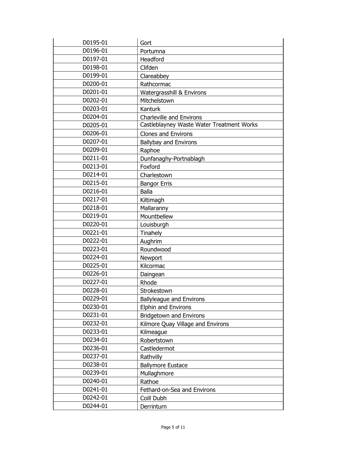| D0195-01 | Gort                                      |
|----------|-------------------------------------------|
| D0196-01 | Portumna                                  |
| D0197-01 | Headford                                  |
| D0198-01 | Clifden                                   |
| D0199-01 | Clareabbey                                |
| D0200-01 | Rathcormac                                |
| D0201-01 | Watergrasshill & Environs                 |
| D0202-01 | Mitchelstown                              |
| D0203-01 | Kanturk                                   |
| D0204-01 | Charleville and Environs                  |
| D0205-01 | Castleblayney Waste Water Treatment Works |
| D0206-01 | <b>Clones and Environs</b>                |
| D0207-01 | Ballybay and Environs                     |
| D0209-01 | Raphoe                                    |
| D0211-01 | Dunfanaghy-Portnablagh                    |
| D0213-01 | Foxford                                   |
| D0214-01 | Charlestown                               |
| D0215-01 | <b>Bangor Erris</b>                       |
| D0216-01 | <b>Balla</b>                              |
| D0217-01 | Kiltimagh                                 |
| D0218-01 | Mallaranny                                |
| D0219-01 | Mountbellew                               |
| D0220-01 | Louisburgh                                |
| D0221-01 | Tinahely                                  |
| D0222-01 | Aughrim                                   |
| D0223-01 | Roundwood                                 |
| D0224-01 | Newport                                   |
| D0225-01 | Kilcormac                                 |
| D0226-01 | Daingean                                  |
| D0227-01 | Rhode                                     |
| D0228-01 | Strokestown                               |
| D0229-01 | <b>Ballyleague and Environs</b>           |
| D0230-01 | <b>Elphin and Environs</b>                |
| D0231-01 | <b>Bridgetown and Environs</b>            |
| D0232-01 | Kilmore Quay Village and Environs         |
| D0233-01 | Kilmeague                                 |
| D0234-01 | Robertstown                               |
| D0236-01 | Castledermot                              |
| D0237-01 | Rathvilly                                 |
| D0238-01 | <b>Ballymore Eustace</b>                  |
| D0239-01 | Mullaghmore                               |
| D0240-01 | Rathoe                                    |
| D0241-01 | Fethard-on-Sea and Environs               |
| D0242-01 | Coill Dubh                                |
| D0244-01 | Derrinturn                                |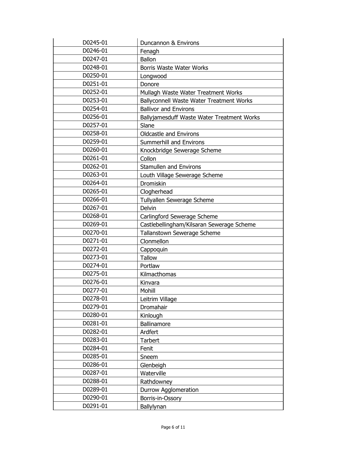| D0245-01 | Duncannon & Environs                       |
|----------|--------------------------------------------|
| D0246-01 | Fenagh                                     |
| D0247-01 | <b>Ballon</b>                              |
| D0248-01 | Borris Waste Water Works                   |
| D0250-01 | Longwood                                   |
| D0251-01 | Donore                                     |
| D0252-01 | Mullagh Waste Water Treatment Works        |
| D0253-01 | Ballyconnell Waste Water Treatment Works   |
| D0254-01 | <b>Ballivor and Environs</b>               |
| D0256-01 | Ballyjamesduff Waste Water Treatment Works |
| D0257-01 | Slane                                      |
| D0258-01 | <b>Oldcastle and Environs</b>              |
| D0259-01 | Summerhill and Environs                    |
| D0260-01 | Knockbridge Sewerage Scheme                |
| D0261-01 | Collon                                     |
| D0262-01 | <b>Stamullen and Environs</b>              |
| D0263-01 | Louth Village Sewerage Scheme              |
| D0264-01 | Dromiskin                                  |
| D0265-01 | Clogherhead                                |
| D0266-01 | Tullyallen Sewerage Scheme                 |
| D0267-01 | Delvin                                     |
| D0268-01 | Carlingford Sewerage Scheme                |
| D0269-01 | Castlebellingham/Kilsaran Sewerage Scheme  |
| D0270-01 | Tallanstown Sewerage Scheme                |
| D0271-01 | Clonmellon                                 |
| D0272-01 | Cappoquin                                  |
| D0273-01 | <b>Tallow</b>                              |
| D0274-01 | Portlaw                                    |
| D0275-01 | Kilmacthomas                               |
| D0276-01 | Kinvara                                    |
| D0277-01 | Mohill                                     |
| D0278-01 | Leitrim Village                            |
| D0279-01 | Dromahair                                  |
| D0280-01 | Kinlough                                   |
| D0281-01 | Ballinamore                                |
| D0282-01 | Ardfert                                    |
| D0283-01 | Tarbert                                    |
| D0284-01 | Fenit                                      |
| D0285-01 | Sneem                                      |
| D0286-01 | Glenbeigh                                  |
| D0287-01 | Waterville                                 |
| D0288-01 | Rathdowney                                 |
| D0289-01 | Durrow Agglomeration                       |
| D0290-01 | Borris-in-Ossory                           |
| D0291-01 | Ballylynan                                 |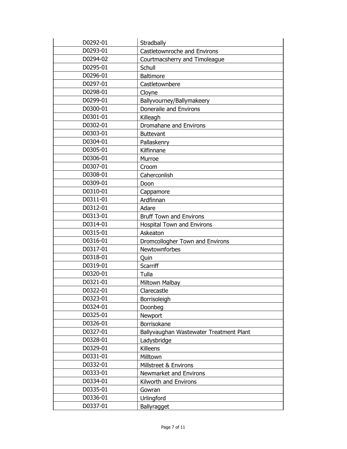| D0292-01 | Stradbally                              |
|----------|-----------------------------------------|
| D0293-01 | Castletownroche and Environs            |
| D0294-02 | Courtmacsherry and Timoleague           |
| D0295-01 | Schull                                  |
| D0296-01 | <b>Baltimore</b>                        |
| D0297-01 | Castletownbere                          |
| D0298-01 | Cloyne                                  |
| D0299-01 | Ballyvourney/Ballymakeery               |
| D0300-01 | Doneraile and Environs                  |
| D0301-01 | Killeagh                                |
| D0302-01 | Dromahane and Environs                  |
| D0303-01 | <b>Buttevant</b>                        |
| D0304-01 | Pallaskenry                             |
| D0305-01 | Kilfinnane                              |
| D0306-01 | Murroe                                  |
| D0307-01 | Croom                                   |
| D0308-01 | Caherconlish                            |
| D0309-01 | Doon                                    |
| D0310-01 | Cappamore                               |
| D0311-01 | Ardfinnan                               |
| D0312-01 | Adare                                   |
| D0313-01 | <b>Bruff Town and Environs</b>          |
| D0314-01 | <b>Hospital Town and Environs</b>       |
| D0315-01 | Askeaton                                |
| D0316-01 | Dromcollogher Town and Environs         |
| D0317-01 | Newtownforbes                           |
| D0318-01 | Quin                                    |
| D0319-01 | Scarriff                                |
| D0320-01 | Tulla                                   |
| D0321-01 | Miltown Malbay                          |
| D0322-01 | Clarecastle                             |
| D0323-01 | Borrisoleigh                            |
| D0324-01 | Doonbeg                                 |
| D0325-01 | Newport                                 |
| D0326-01 | Borrisokane                             |
| D0327-01 | Ballyvaughan Wastewater Treatment Plant |
| D0328-01 | Ladysbridge                             |
| D0329-01 | Killeens                                |
| D0331-01 | Milltown                                |
| D0332-01 | Millstreet & Environs                   |
| D0333-01 | Newmarket and Environs                  |
| D0334-01 | Kilworth and Environs                   |
| D0335-01 | Gowran                                  |
| D0336-01 | Urlingford                              |
| D0337-01 | Ballyragget                             |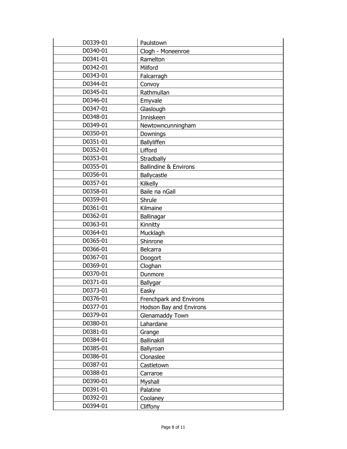| D0339-01 | Paulstown                        |
|----------|----------------------------------|
| D0340-01 | Clogh - Moneenroe                |
| D0341-01 | Ramelton                         |
| D0342-01 | Milford                          |
| D0343-01 | Falcarragh                       |
| D0344-01 | Convoy                           |
| D0345-01 | Rathmullan                       |
| D0346-01 | Emyvale                          |
| D0347-01 | Glaslough                        |
| D0348-01 | Inniskeen                        |
| D0349-01 | Newtowncunningham                |
| D0350-01 | Downings                         |
| D0351-01 | Ballyliffen                      |
| D0352-01 | Lifford                          |
| D0353-01 | Stradbally                       |
| D0355-01 | <b>Ballindine &amp; Environs</b> |
| D0356-01 | Ballycastle                      |
| D0357-01 | Kilkelly                         |
| D0358-01 | Baile na nGall                   |
| D0359-01 | Shrule                           |
| D0361-01 | Kilmaine                         |
| D0362-01 | Ballinagar                       |
| D0363-01 | Kinnitty                         |
| D0364-01 | Mucklagh                         |
| D0365-01 | Shinrone                         |
| D0366-01 | Belcarra                         |
| D0367-01 | Doogort                          |
| D0369-01 | Cloghan                          |
| D0370-01 | Dunmore                          |
| D0371-01 | Ballygar                         |
| D0373-01 | Easky                            |
| D0376-01 | Frenchpark and Environs          |
| D0377-01 | Hodson Bay and Environs          |
| D0379-01 | Glenamaddy Town                  |
| D0380-01 | Lahardane                        |
| D0381-01 | Grange                           |
| D0384-01 | Ballinakill                      |
| D0385-01 | Ballyroan                        |
| D0386-01 | Clonaslee                        |
| D0387-01 | Castletown                       |
| D0388-01 | Carraroe                         |
| D0390-01 | Myshall                          |
| D0391-01 | Palatine                         |
| D0392-01 | Coolaney                         |
| D0394-01 | Cliffony                         |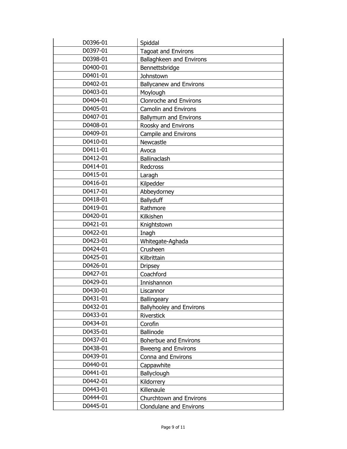| D0396-01 | Spiddal                         |
|----------|---------------------------------|
| D0397-01 | <b>Tagoat and Environs</b>      |
| D0398-01 | Ballaghkeen and Environs        |
| D0400-01 | Bennettsbridge                  |
| D0401-01 | Johnstown                       |
| D0402-01 | <b>Ballycanew and Environs</b>  |
| D0403-01 | Moylough                        |
| D0404-01 | Clonroche and Environs          |
| D0405-01 | <b>Camolin and Environs</b>     |
| D0407-01 | <b>Ballymurn and Environs</b>   |
| D0408-01 | Roosky and Environs             |
| D0409-01 | Campile and Environs            |
| D0410-01 | Newcastle                       |
| D0411-01 | Avoca                           |
| D0412-01 | Ballinaclash                    |
| D0414-01 | Redcross                        |
| D0415-01 | Laragh                          |
| D0416-01 | Kilpedder                       |
| D0417-01 | Abbeydorney                     |
| D0418-01 | <b>Ballyduff</b>                |
| D0419-01 | Rathmore                        |
| D0420-01 | Kilkishen                       |
| D0421-01 | Knightstown                     |
| D0422-01 | Inagh                           |
| D0423-01 | Whitegate-Aghada                |
| D0424-01 | Crusheen                        |
| D0425-01 | Kilbrittain                     |
| D0426-01 | <b>Dripsey</b>                  |
| D0427-01 | Coachford                       |
| D0429-01 | Innishannon                     |
| D0430-01 | Liscannor                       |
| D0431-01 | Ballingeary                     |
| D0432-01 | <b>Ballyhooley and Environs</b> |
| D0433-01 | Riverstick                      |
| D0434-01 | Corofin                         |
| D0435-01 | <b>Ballinode</b>                |
| D0437-01 | <b>Boherbue and Environs</b>    |
| D0438-01 | <b>Bweeng and Environs</b>      |
| D0439-01 | Conna and Environs              |
| D0440-01 | Cappawhite                      |
| D0441-01 | Ballyclough                     |
| D0442-01 | Kildorrery                      |
| D0443-01 | Killenaule                      |
| D0444-01 | Churchtown and Environs         |
| D0445-01 | <b>Clondulane and Environs</b>  |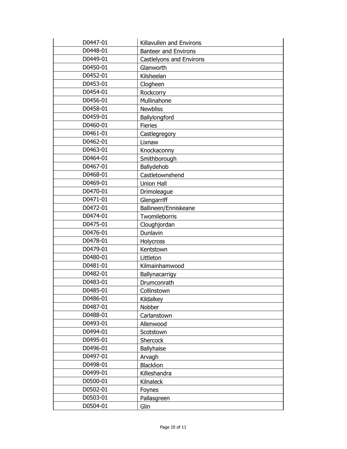| D0447-01 | Killavullen and Environs    |
|----------|-----------------------------|
| D0448-01 | <b>Banteer and Environs</b> |
| D0449-01 | Castlelyons and Environs    |
| D0450-01 | Glanworth                   |
| D0452-01 | Kilsheelan                  |
| D0453-01 | Clogheen                    |
| D0454-01 | Rockcorry                   |
| D0456-01 | Mullinahone                 |
| D0458-01 | <b>Newbliss</b>             |
| D0459-01 | Ballylongford               |
| D0460-01 | <b>Fieries</b>              |
| D0461-01 | Castlegregory               |
| D0462-01 | Lixnaw                      |
| D0463-01 | Knockaconny                 |
| D0464-01 | Smithborough                |
| D0467-01 | Ballydehob                  |
| D0468-01 | Castletownshend             |
| D0469-01 | <b>Union Hall</b>           |
| D0470-01 | Drimoleague                 |
| D0471-01 | Glengarriff                 |
| D0472-01 | Ballineen/Enniskeane        |
| D0474-01 | Twomileborris               |
| D0475-01 | Cloughjordan                |
| D0476-01 | Dunlavin                    |
| D0478-01 | Holycross                   |
| D0479-01 | Kentstown                   |
| D0480-01 | Littleton                   |
| D0481-01 | Kilmainhamwood              |
| D0482-01 | Ballynacarrigy              |
| D0483-01 | Drumconrath                 |
| D0485-01 | Collinstown                 |
| D0486-01 | Kildalkey                   |
| D0487-01 | Nobber                      |
| D0488-01 | Carlanstown                 |
| D0493-01 | Allenwood                   |
| D0494-01 | Scotstown                   |
| D0495-01 | Shercock                    |
| D0496-01 | <b>Ballyhaise</b>           |
| D0497-01 | Arvagh                      |
| D0498-01 | <b>Blacklion</b>            |
| D0499-01 | Killeshandra                |
| D0500-01 | Kilnaleck                   |
| D0502-01 | Foynes                      |
| D0503-01 | Pallasgreen                 |
| D0504-01 | Glin                        |